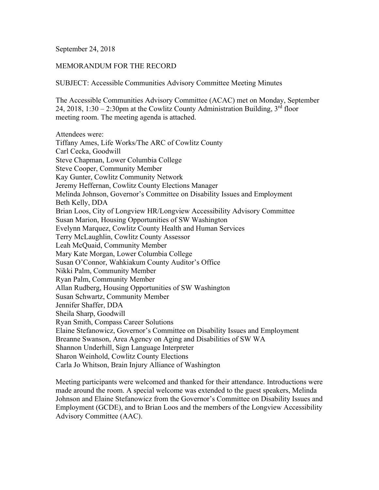### September 24, 2018

## MEMORANDUM FOR THE RECORD

SUBJECT: Accessible Communities Advisory Committee Meeting Minutes

The Accessible Communities Advisory Committee (ACAC) met on Monday, September 24, 2018, 1:30 – 2:30pm at the Cowlitz County Administration Building,  $3<sup>rd</sup>$  floor meeting room. The meeting agenda is attached.

Attendees were: Tiffany Ames, Life Works/The ARC of Cowlitz County Carl Cecka, Goodwill Steve Chapman, Lower Columbia College Steve Cooper, Community Member Kay Gunter, Cowlitz Community Network Jeremy Heffernan, Cowlitz County Elections Manager Melinda Johnson, Governor's Committee on Disability Issues and Employment Beth Kelly, DDA Brian Loos, City of Longview HR/Longview Accessibility Advisory Committee Susan Marion, Housing Opportunities of SW Washington Evelynn Marquez, Cowlitz County Health and Human Services Terry McLaughlin, Cowlitz County Assessor Leah McQuaid, Community Member Mary Kate Morgan, Lower Columbia College Susan O'Connor, Wahkiakum County Auditor's Office Nikki Palm, Community Member Ryan Palm, Community Member Allan Rudberg, Housing Opportunities of SW Washington Susan Schwartz, Community Member Jennifer Shaffer, DDA Sheila Sharp, Goodwill Ryan Smith, Compass Career Solutions Elaine Stefanowicz, Governor's Committee on Disability Issues and Employment Breanne Swanson, Area Agency on Aging and Disabilities of SW WA Shannon Underhill, Sign Language Interpreter Sharon Weinhold, Cowlitz County Elections Carla Jo Whitson, Brain Injury Alliance of Washington

Meeting participants were welcomed and thanked for their attendance. Introductions were made around the room. A special welcome was extended to the guest speakers, Melinda Johnson and Elaine Stefanowicz from the Governor's Committee on Disability Issues and Employment (GCDE), and to Brian Loos and the members of the Longview Accessibility Advisory Committee (AAC).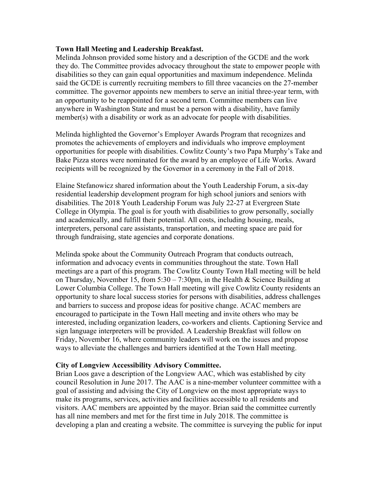## **Town Hall Meeting and Leadership Breakfast.**

Melinda Johnson provided some history and a description of the GCDE and the work they do. The Committee provides advocacy throughout the state to empower people with disabilities so they can gain equal opportunities and maximum independence. Melinda said the GCDE is currently recruiting members to fill three vacancies on the 27-member committee. The governor appoints new members to serve an initial three-year term, with an opportunity to be reappointed for a second term. Committee members can live anywhere in Washington State and must be a person with a disability, have family member(s) with a disability or work as an advocate for people with disabilities.

Melinda highlighted the Governor's Employer Awards Program that recognizes and promotes the achievements of employers and individuals who improve employment opportunities for people with disabilities. Cowlitz County's two Papa Murphy's Take and Bake Pizza stores were nominated for the award by an employee of Life Works. Award recipients will be recognized by the Governor in a ceremony in the Fall of 2018.

Elaine Stefanowicz shared information about the Youth Leadership Forum, a six-day residential leadership development program for high school juniors and seniors with disabilities. The 2018 Youth Leadership Forum was July 22-27 at Evergreen State College in Olympia. The goal is for youth with disabilities to grow personally, socially and academically, and fulfill their potential. All costs, including housing, meals, interpreters, personal care assistants, transportation, and meeting space are paid for through fundraising, state agencies and corporate donations.

Melinda spoke about the Community Outreach Program that conducts outreach, information and advocacy events in communities throughout the state. Town Hall meetings are a part of this program. The Cowlitz County Town Hall meeting will be held on Thursday, November 15, from  $5:30 - 7:30$  pm, in the Health & Science Building at Lower Columbia College. The Town Hall meeting will give Cowlitz County residents an opportunity to share local success stories for persons with disabilities, address challenges and barriers to success and propose ideas for positive change. ACAC members are encouraged to participate in the Town Hall meeting and invite others who may be interested, including organization leaders, co-workers and clients. Captioning Service and sign language interpreters will be provided. A Leadership Breakfast will follow on Friday, November 16, where community leaders will work on the issues and propose ways to alleviate the challenges and barriers identified at the Town Hall meeting.

#### **City of Longview Accessibility Advisory Committee.**

Brian Loos gave a description of the Longview AAC, which was established by city council Resolution in June 2017. The AAC is a nine-member volunteer committee with a goal of assisting and advising the City of Longview on the most appropriate ways to make its programs, services, activities and facilities accessible to all residents and visitors. AAC members are appointed by the mayor. Brian said the committee currently has all nine members and met for the first time in July 2018. The committee is developing a plan and creating a website. The committee is surveying the public for input